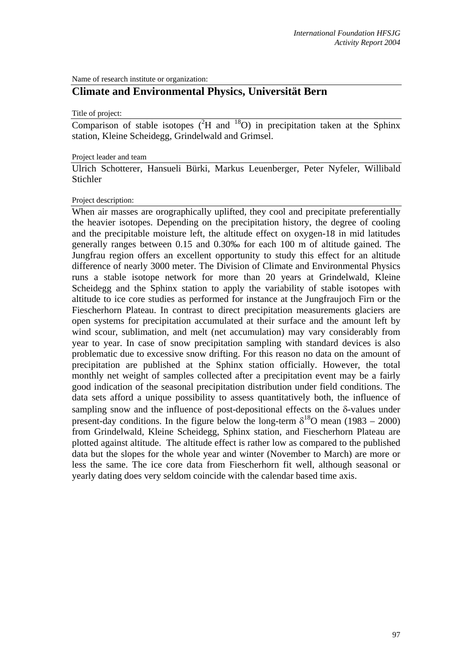Name of research institute or organization:

# **Climate and Environmental Physics, Universität Bern**

Title of project:

Comparison of stable isotopes  $(^{2}H$  and  $^{18}O$ ) in precipitation taken at the Sphinx station, Kleine Scheidegg, Grindelwald and Grimsel.

#### Project leader and team

Ulrich Schotterer, Hansueli Bürki, Markus Leuenberger, Peter Nyfeler, Willibald Stichler

## Project description:

When air masses are orographically uplifted, they cool and precipitate preferentially the heavier isotopes. Depending on the precipitation history, the degree of cooling and the precipitable moisture left, the altitude effect on oxygen-18 in mid latitudes generally ranges between 0.15 and 0.30‰ for each 100 m of altitude gained. The Jungfrau region offers an excellent opportunity to study this effect for an altitude difference of nearly 3000 meter. The Division of Climate and Environmental Physics runs a stable isotope network for more than 20 years at Grindelwald, Kleine Scheidegg and the Sphinx station to apply the variability of stable isotopes with altitude to ice core studies as performed for instance at the Jungfraujoch Firn or the Fiescherhorn Plateau. In contrast to direct precipitation measurements glaciers are open systems for precipitation accumulated at their surface and the amount left by wind scour, sublimation, and melt (net accumulation) may vary considerably from year to year. In case of snow precipitation sampling with standard devices is also problematic due to excessive snow drifting. For this reason no data on the amount of precipitation are published at the Sphinx station officially. However, the total monthly net weight of samples collected after a precipitation event may be a fairly good indication of the seasonal precipitation distribution under field conditions. The data sets afford a unique possibility to assess quantitatively both, the influence of sampling snow and the influence of post-depositional effects on the δ-values under present-day conditions. In the figure below the long-term  $\delta^{18}$ O mean (1983 – 2000) from Grindelwald, Kleine Scheidegg, Sphinx station, and Fiescherhorn Plateau are plotted against altitude. The altitude effect is rather low as compared to the published data but the slopes for the whole year and winter (November to March) are more or less the same. The ice core data from Fiescherhorn fit well, although seasonal or yearly dating does very seldom coincide with the calendar based time axis.